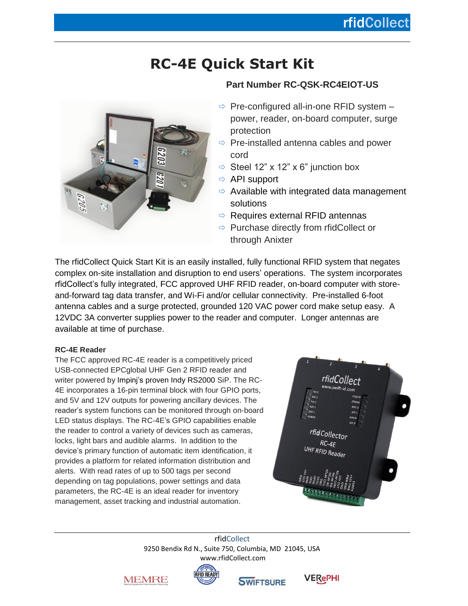## **rfidCollect**

# **RC-4E Quick Start Kit**



### **Part Number RC-QSK-RC4EIOT-US**

- $\Rightarrow$  Pre-configured all-in-one RFID system power, reader, on-board computer, surge protection
- $\Rightarrow$  Pre-installed antenna cables and power cord
- $\Rightarrow$  Steel 12" x 12" x 6" junction box
- $\Rightarrow$  API support
- $\Rightarrow$  Available with integrated data management solutions
- $\Rightarrow$  Requires external RFID antennas
- $\Rightarrow$  Purchase directly from rfidCollect or through Anixter

The rfidCollect Quick Start Kit is an easily installed, fully functional RFID system that negates complex on-site installation and disruption to end users' operations. The system incorporates rfidCollect's fully integrated, FCC approved UHF RFID reader, on-board computer with storeand-forward tag data transfer, and Wi-Fi and/or cellular connectivity. Pre-installed 6-foot antenna cables and a surge protected, grounded 120 VAC power cord make setup easy. A 12VDC 3A converter supplies power to the reader and computer. Longer antennas are available at time of purchase.

#### **RC-4E Reader**

The FCC approved RC-4E reader is a competitively priced USB-connected EPCglobal UHF Gen 2 RFID reader and writer powered by [Impinj's proven Indy RS2000](https://www.impinj.com/platform/connectivity/indy-rs2000/) SiP. The RC-4E incorporates a 16-pin terminal block with four GPIO ports, and 5V and 12V outputs for powering ancillary devices. The reader's system functions can be monitored through on-board LED status displays. The RC-4E's GPIO capabilities enable the reader to control a variety of devices such as cameras, locks, light bars and audible alarms. In addition to the device's primary function of automatic item identification, it provides a platform for related information distribution and alerts. With read rates of up to 500 tags per second depending on tag populations, power settings and data parameters, the RC-4E is an ideal reader for inventory management, asset tracking and industrial automation.



rfidCollect 9250 Bendix Rd N., Suite 750, Columbia, MD 21045, USA [www.rfidCollect.com](http://www.rfidcollect.com/)